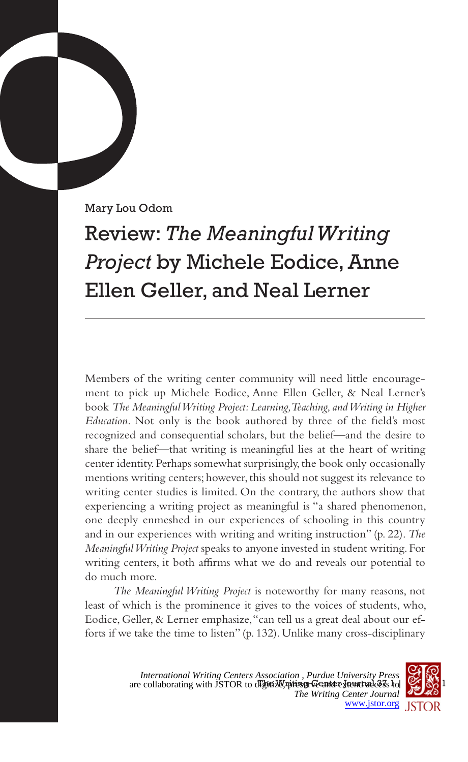Mary Lou Odom

## Review: *The Meaningful Writing Project* by Michele Eodice, Anne Ellen Geller, and Neal Lerner

Members of the writing center community will need little encouragement to pick up Michele Eodice, Anne Ellen Geller, & Neal Lerner's book *The Meaningful Writing Project: Learning, Teaching, and Writing in Higher Education*. Not only is the book authored by three of the field's most recognized and consequential scholars, but the belief—and the desire to share the belief—that writing is meaningful lies at the heart of writing center identity. Perhaps somewhat surprisingly, the book only occasionally mentions writing centers; however, this should not suggest its relevance to writing center studies is limited. On the contrary, the authors show that experiencing a writing project as meaningful is "a shared phenomenon, one deeply enmeshed in our experiences of schooling in this country and in our experiences with writing and writing instruction" (p. 22). *The Meaningful Writing Project* speaks to anyone invested in student writing. For writing centers, it both affirms what we do and reveals our potential to do much more.

*The Meaningful Writing Project* is noteworthy for many reasons, not least of which is the prominence it gives to the voices of students, who, Eodice, Geller, & Lerner emphasize, "can tell us a great deal about our efforts if we take the time to listen" (p. 132). Unlike many cross-disciplinary

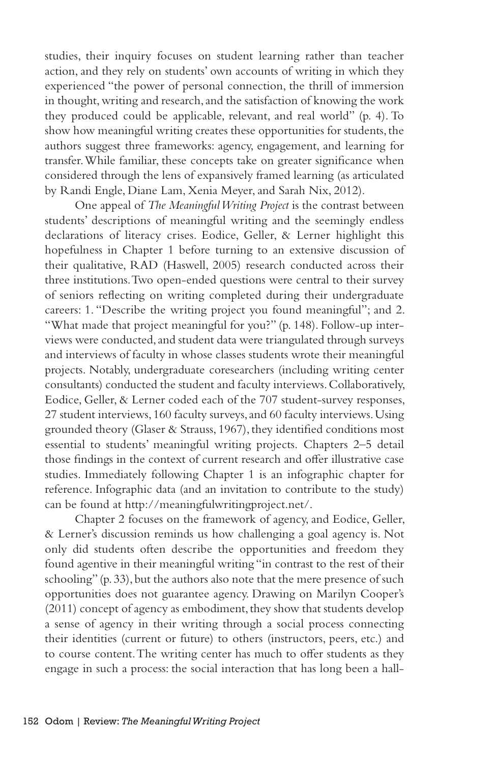studies, their inquiry focuses on student learning rather than teacher action, and they rely on students' own accounts of writing in which they experienced "the power of personal connection, the thrill of immersion in thought, writing and research, and the satisfaction of knowing the work they produced could be applicable, relevant, and real world" (p. 4). To show how meaningful writing creates these opportunities for students, the authors suggest three frameworks: agency, engagement, and learning for transfer. While familiar, these concepts take on greater significance when considered through the lens of expansively framed learning (as articulated by Randi Engle, Diane Lam, Xenia Meyer, and Sarah Nix, 2012).

One appeal of *The Meaningful Writing Project* is the contrast between students' descriptions of meaningful writing and the seemingly endless declarations of literacy crises. Eodice, Geller, & Lerner highlight this hopefulness in Chapter 1 before turning to an extensive discussion of their qualitative, RAD (Haswell, 2005) research conducted across their three institutions. Two open-ended questions were central to their survey of seniors reflecting on writing completed during their undergraduate careers: 1. "Describe the writing project you found meaningful"; and 2. "What made that project meaningful for you?" (p. 148). Follow-up interviews were conducted, and student data were triangulated through surveys and interviews of faculty in whose classes students wrote their meaningful projects. Notably, undergraduate coresearchers (including writing center consultants) conducted the student and faculty interviews. Collaboratively, Eodice, Geller, & Lerner coded each of the 707 student-survey responses, 27 student interviews, 160 faculty surveys, and 60 faculty interviews. Using grounded theory (Glaser & Strauss, 1967), they identified conditions most essential to students' meaningful writing projects. Chapters 2–5 detail those findings in the context of current research and offer illustrative case studies. Immediately following Chapter 1 is an infographic chapter for reference. Infographic data (and an invitation to contribute to the study) can be found at http://meaningfulwritingproject.net/.

Chapter 2 focuses on the framework of agency, and Eodice, Geller, & Lerner's discussion reminds us how challenging a goal agency is. Not only did students often describe the opportunities and freedom they found agentive in their meaningful writing "in contrast to the rest of their schooling" (p. 33), but the authors also note that the mere presence of such opportunities does not guarantee agency. Drawing on Marilyn Cooper's (2011) concept of agency as embodiment, they show that students develop a sense of agency in their writing through a social process connecting their identities (current or future) to others (instructors, peers, etc.) and to course content. The writing center has much to offer students as they engage in such a process: the social interaction that has long been a hall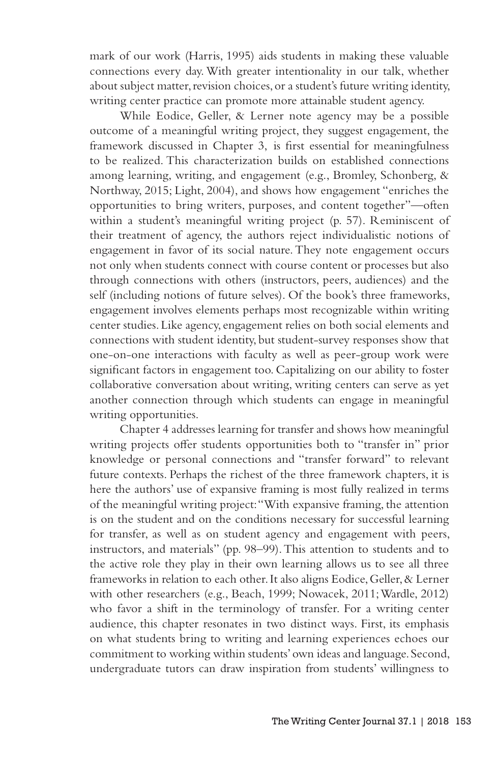mark of our work (Harris, 1995) aids students in making these valuable connections every day. With greater intentionality in our talk, whether about subject matter, revision choices, or a student's future writing identity, writing center practice can promote more attainable student agency.

While Eodice, Geller, & Lerner note agency may be a possible outcome of a meaningful writing project, they suggest engagement, the framework discussed in Chapter 3, is first essential for meaningfulness to be realized. This characterization builds on established connections among learning, writing, and engagement (e.g., Bromley, Schonberg, & Northway, 2015; Light, 2004), and shows how engagement "enriches the opportunities to bring writers, purposes, and content together"—often within a student's meaningful writing project (p. 57). Reminiscent of their treatment of agency, the authors reject individualistic notions of engagement in favor of its social nature. They note engagement occurs not only when students connect with course content or processes but also through connections with others (instructors, peers, audiences) and the self (including notions of future selves). Of the book's three frameworks, engagement involves elements perhaps most recognizable within writing center studies. Like agency, engagement relies on both social elements and connections with student identity, but student-survey responses show that one-on-one interactions with faculty as well as peer-group work were significant factors in engagement too. Capitalizing on our ability to foster collaborative conversation about writing, writing centers can serve as yet another connection through which students can engage in meaningful writing opportunities.

Chapter 4 addresses learning for transfer and shows how meaningful writing projects offer students opportunities both to "transfer in" prior knowledge or personal connections and "transfer forward" to relevant future contexts. Perhaps the richest of the three framework chapters, it is here the authors' use of expansive framing is most fully realized in terms of the meaningful writing project: "With expansive framing, the attention is on the student and on the conditions necessary for successful learning for transfer, as well as on student agency and engagement with peers, instructors, and materials" (pp. 98–99). This attention to students and to the active role they play in their own learning allows us to see all three frameworks in relation to each other. It also aligns Eodice, Geller, & Lerner with other researchers (e.g., Beach, 1999; Nowacek, 2011; Wardle, 2012) who favor a shift in the terminology of transfer. For a writing center audience, this chapter resonates in two distinct ways. First, its emphasis on what students bring to writing and learning experiences echoes our commitment to working within students' own ideas and language. Second, undergraduate tutors can draw inspiration from students' willingness to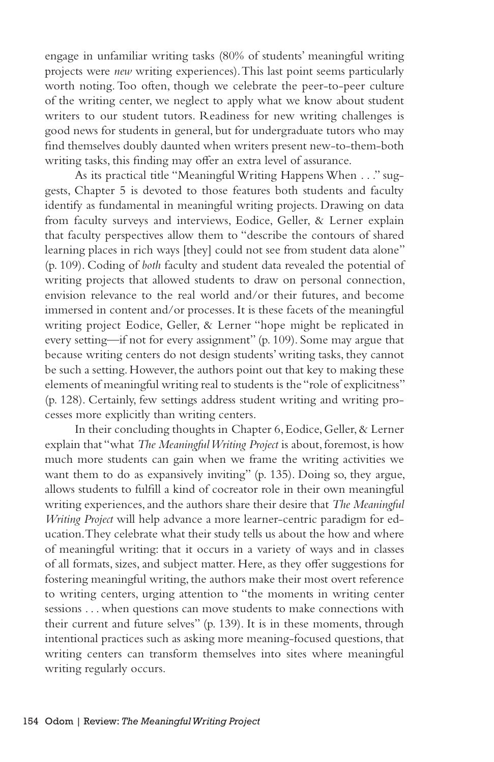engage in unfamiliar writing tasks (80% of students' meaningful writing projects were *new* writing experiences). This last point seems particularly worth noting. Too often, though we celebrate the peer-to-peer culture of the writing center, we neglect to apply what we know about student writers to our student tutors. Readiness for new writing challenges is good news for students in general, but for undergraduate tutors who may find themselves doubly daunted when writers present new-to-them-both writing tasks, this finding may offer an extra level of assurance.

As its practical title "Meaningful Writing Happens When . . ." suggests, Chapter 5 is devoted to those features both students and faculty identify as fundamental in meaningful writing projects. Drawing on data from faculty surveys and interviews, Eodice, Geller, & Lerner explain that faculty perspectives allow them to "describe the contours of shared learning places in rich ways [they] could not see from student data alone" (p. 109). Coding of *both* faculty and student data revealed the potential of writing projects that allowed students to draw on personal connection, envision relevance to the real world and/or their futures, and become immersed in content and/or processes. It is these facets of the meaningful writing project Eodice, Geller, & Lerner "hope might be replicated in every setting—if not for every assignment" (p. 109). Some may argue that because writing centers do not design students' writing tasks, they cannot be such a setting. However, the authors point out that key to making these elements of meaningful writing real to students is the "role of explicitness" (p. 128). Certainly, few settings address student writing and writing processes more explicitly than writing centers.

In their concluding thoughts in Chapter 6, Eodice, Geller, & Lerner explain that "what *The Meaningful Writing Project* is about, foremost, is how much more students can gain when we frame the writing activities we want them to do as expansively inviting" (p. 135). Doing so, they argue, allows students to fulfill a kind of cocreator role in their own meaningful writing experiences, and the authors share their desire that *The Meaningful Writing Project* will help advance a more learner-centric paradigm for education. They celebrate what their study tells us about the how and where of meaningful writing: that it occurs in a variety of ways and in classes of all formats, sizes, and subject matter. Here, as they offer suggestions for fostering meaningful writing, the authors make their most overt reference to writing centers, urging attention to "the moments in writing center sessions . . . when questions can move students to make connections with their current and future selves" (p. 139). It is in these moments, through intentional practices such as asking more meaning-focused questions, that writing centers can transform themselves into sites where meaningful writing regularly occurs.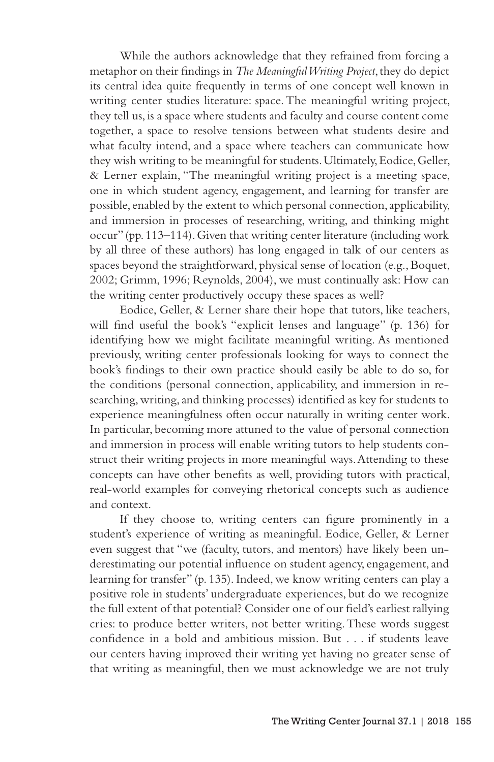While the authors acknowledge that they refrained from forcing a metaphor on their findings in *The Meaningful Writing Project*, they do depict its central idea quite frequently in terms of one concept well known in writing center studies literature: space. The meaningful writing project, they tell us, is a space where students and faculty and course content come together, a space to resolve tensions between what students desire and what faculty intend, and a space where teachers can communicate how they wish writing to be meaningful for students. Ultimately, Eodice, Geller, & Lerner explain, "The meaningful writing project is a meeting space, one in which student agency, engagement, and learning for transfer are possible, enabled by the extent to which personal connection, applicability, and immersion in processes of researching, writing, and thinking might occur" (pp. 113–114). Given that writing center literature (including work by all three of these authors) has long engaged in talk of our centers as spaces beyond the straightforward, physical sense of location (e.g., Boquet, 2002; Grimm, 1996; Reynolds, 2004), we must continually ask: How can the writing center productively occupy these spaces as well?

Eodice, Geller, & Lerner share their hope that tutors, like teachers, will find useful the book's "explicit lenses and language" (p. 136) for identifying how we might facilitate meaningful writing. As mentioned previously, writing center professionals looking for ways to connect the book's findings to their own practice should easily be able to do so, for the conditions (personal connection, applicability, and immersion in researching, writing, and thinking processes) identified as key for students to experience meaningfulness often occur naturally in writing center work. In particular, becoming more attuned to the value of personal connection and immersion in process will enable writing tutors to help students construct their writing projects in more meaningful ways. Attending to these concepts can have other benefits as well, providing tutors with practical, real-world examples for conveying rhetorical concepts such as audience and context.

If they choose to, writing centers can figure prominently in a student's experience of writing as meaningful. Eodice, Geller, & Lerner even suggest that "we (faculty, tutors, and mentors) have likely been underestimating our potential influence on student agency, engagement, and learning for transfer" (p. 135). Indeed, we know writing centers can play a positive role in students' undergraduate experiences, but do we recognize the full extent of that potential? Consider one of our field's earliest rallying cries: to produce better writers, not better writing. These words suggest confidence in a bold and ambitious mission. But . . . if students leave our centers having improved their writing yet having no greater sense of that writing as meaningful, then we must acknowledge we are not truly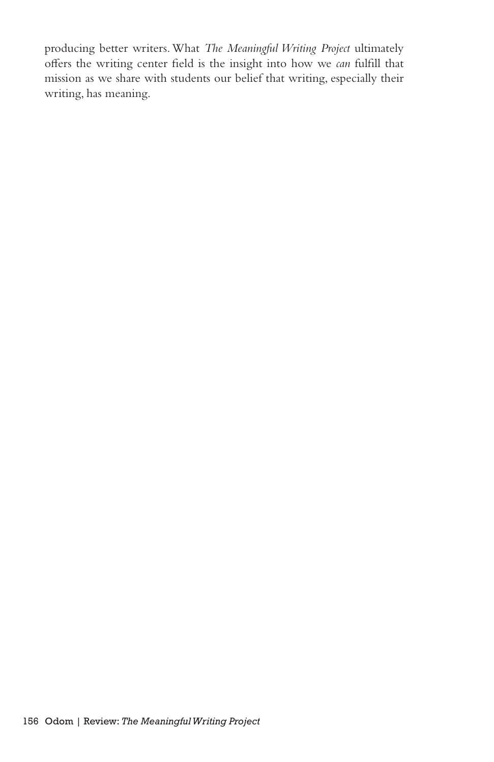producing better writers. What *The Meaningful Writing Project* ultimately offers the writing center field is the insight into how we *can* fulfill that mission as we share with students our belief that writing, especially their writing, has meaning.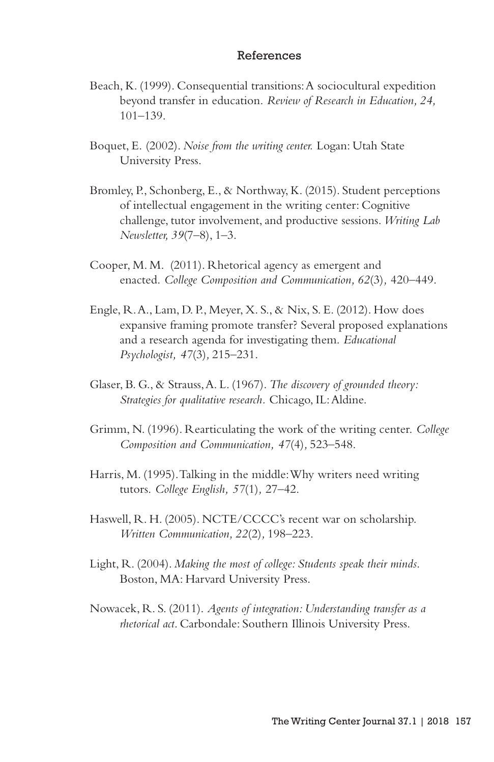## References

- Beach, K. (1999). Consequential transitions: A sociocultural expedition beyond transfer in education. *Review of Research in Education, 24,* 101–139.
- Boquet, E. (2002). *Noise from the writing center.* Logan: Utah State University Press.
- Bromley, P., Schonberg, E., & Northway, K. (2015). Student perceptions of intellectual engagement in the writing center: Cognitive challenge, tutor involvement, and productive sessions. *Writing Lab Newsletter, 39*(7–8), 1–3.
- Cooper, M. M. (2011). Rhetorical agency as emergent and enacted. *College Composition and Communication, 62*(3)*,* 420–449.
- Engle, R. A., Lam, D. P., Meyer, X. S., & Nix, S. E. (2012). How does expansive framing promote transfer? Several proposed explanations and a research agenda for investigating them. *Educational Psychologist, 47*(3)*,* 215–231.
- Glaser, B. G., & Strauss, A. L. (1967). *The discovery of grounded theory: Strategies for qualitative research.* Chicago, IL: Aldine.
- Grimm, N. (1996). Rearticulating the work of the writing center. *College Composition and Communication, 47*(4)*,* 523–548.
- Harris, M. (1995). Talking in the middle: Why writers need writing tutors. *College English, 57*(1)*,* 27–42.
- Haswell, R. H. (2005). NCTE/CCCC's recent war on scholarship. *Written Communication, 22*(2)*,* 198–223.
- Light, R. (2004). *Making the most of college: Students speak their minds*. Boston, MA: Harvard University Press.
- Nowacek, R. S. (2011). *Agents of integration: Understanding transfer as a rhetorical act*. Carbondale: Southern Illinois University Press.